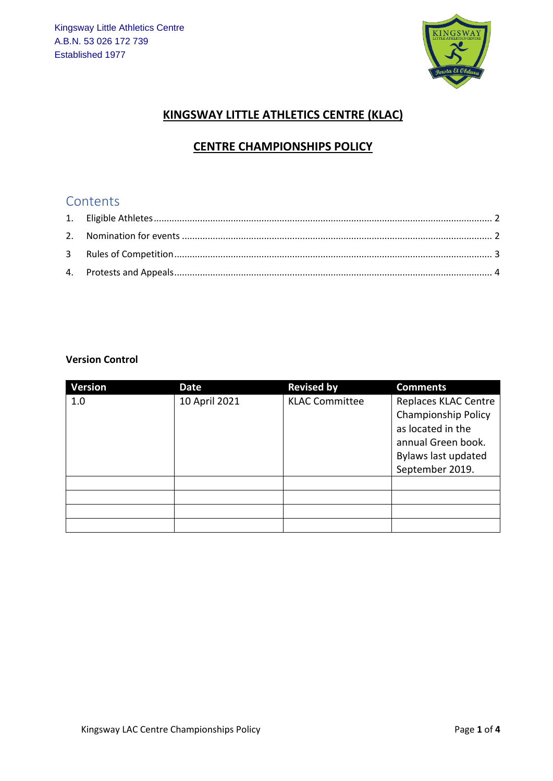

#### **KINGSWAY LITTLE ATHLETICS CENTRE (KLAC)**

### **CENTRE CHAMPIONSHIPS POLICY**

## Contents

#### **Version Control**

| <b>Version</b> | Date          | <b>Revised by</b>     | <b>Comments</b>                                                                                                                  |
|----------------|---------------|-----------------------|----------------------------------------------------------------------------------------------------------------------------------|
| 1.0            | 10 April 2021 | <b>KLAC Committee</b> | Replaces KLAC Centre<br>Championship Policy<br>as located in the<br>annual Green book.<br>Bylaws last updated<br>September 2019. |
|                |               |                       |                                                                                                                                  |
|                |               |                       |                                                                                                                                  |
|                |               |                       |                                                                                                                                  |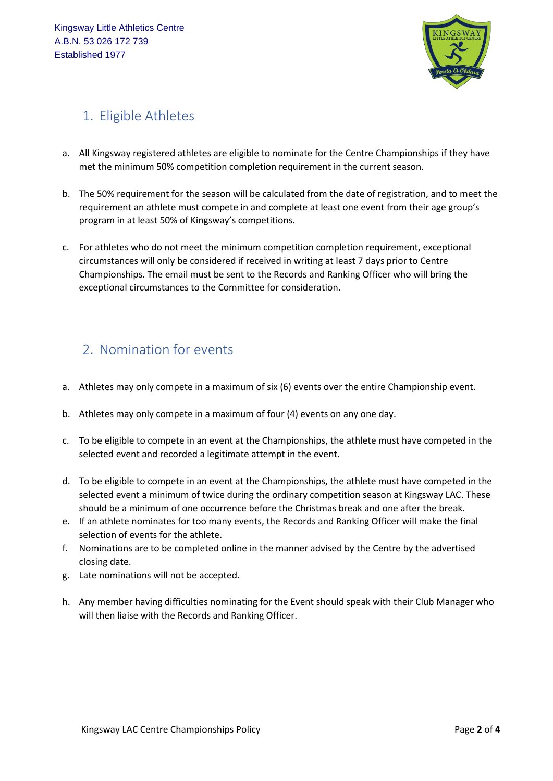

# <span id="page-1-0"></span>1. Eligible Athletes

- a. All Kingsway registered athletes are eligible to nominate for the Centre Championships if they have met the minimum 50% competition completion requirement in the current season.
- b. The 50% requirement for the season will be calculated from the date of registration, and to meet the requirement an athlete must compete in and complete at least one event from their age group's program in at least 50% of Kingsway's competitions.
- c. For athletes who do not meet the minimum competition completion requirement, exceptional circumstances will only be considered if received in writing at least 7 days prior to Centre Championships. The email must be sent to the Records and Ranking Officer who will bring the exceptional circumstances to the Committee for consideration.

## <span id="page-1-1"></span>2. Nomination for events

- a. Athletes may only compete in a maximum of six (6) events over the entire Championship event.
- b. Athletes may only compete in a maximum of four (4) events on any one day.
- c. To be eligible to compete in an event at the Championships, the athlete must have competed in the selected event and recorded a legitimate attempt in the event.
- d. To be eligible to compete in an event at the Championships, the athlete must have competed in the selected event a minimum of twice during the ordinary competition season at Kingsway LAC. These should be a minimum of one occurrence before the Christmas break and one after the break.
- e. If an athlete nominates for too many events, the Records and Ranking Officer will make the final selection of events for the athlete.
- f. Nominations are to be completed online in the manner advised by the Centre by the advertised closing date.
- g. Late nominations will not be accepted.
- h. Any member having difficulties nominating for the Event should speak with their Club Manager who will then liaise with the Records and Ranking Officer.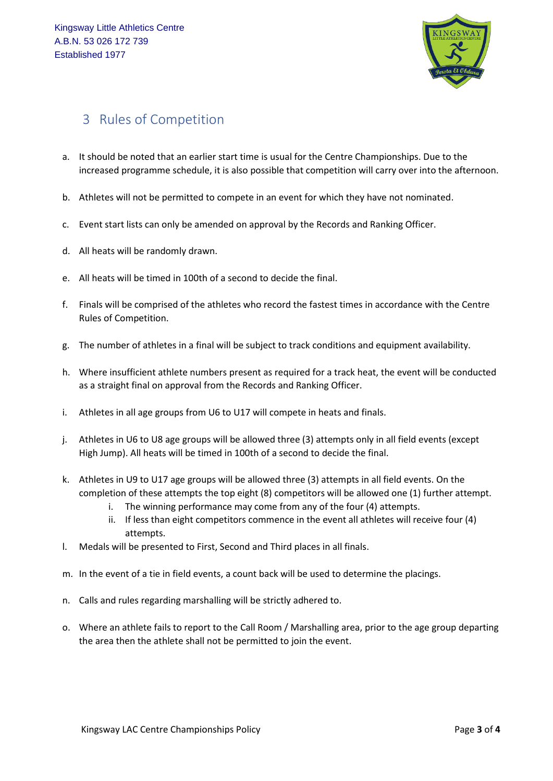

## <span id="page-2-0"></span>3 Rules of Competition

- a. It should be noted that an earlier start time is usual for the Centre Championships. Due to the increased programme schedule, it is also possible that competition will carry over into the afternoon.
- b. Athletes will not be permitted to compete in an event for which they have not nominated.
- c. Event start lists can only be amended on approval by the Records and Ranking Officer.
- d. All heats will be randomly drawn.
- e. All heats will be timed in 100th of a second to decide the final.
- f. Finals will be comprised of the athletes who record the fastest times in accordance with the Centre Rules of Competition.
- g. The number of athletes in a final will be subject to track conditions and equipment availability.
- h. Where insufficient athlete numbers present as required for a track heat, the event will be conducted as a straight final on approval from the Records and Ranking Officer.
- i. Athletes in all age groups from U6 to U17 will compete in heats and finals.
- j. Athletes in U6 to U8 age groups will be allowed three (3) attempts only in all field events (except High Jump). All heats will be timed in 100th of a second to decide the final.
- k. Athletes in U9 to U17 age groups will be allowed three (3) attempts in all field events. On the completion of these attempts the top eight (8) competitors will be allowed one (1) further attempt.
	- i. The winning performance may come from any of the four (4) attempts.
	- ii. If less than eight competitors commence in the event all athletes will receive four (4) attempts.
- l. Medals will be presented to First, Second and Third places in all finals.
- m. In the event of a tie in field events, a count back will be used to determine the placings.
- n. Calls and rules regarding marshalling will be strictly adhered to.
- o. Where an athlete fails to report to the Call Room / Marshalling area, prior to the age group departing the area then the athlete shall not be permitted to join the event.